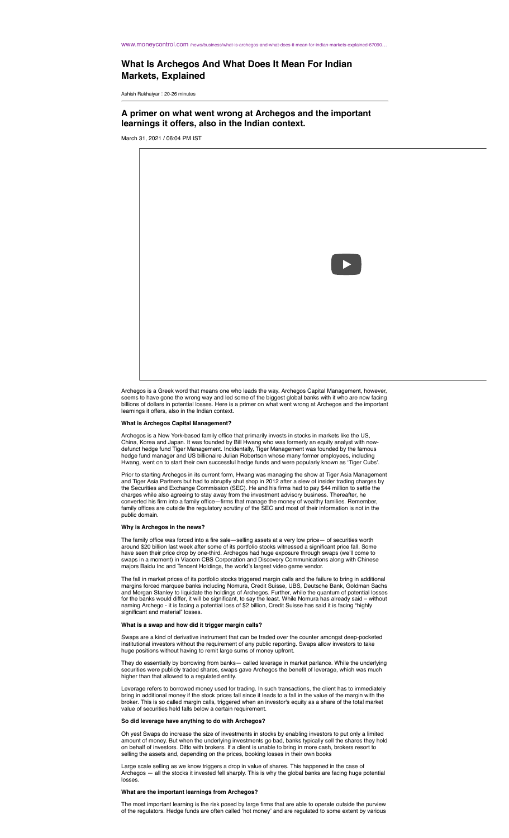#### WWW.moneycontrol.com /news/business/what-is-archegos-and-what-does-it-mean-for-indian-r

# What Is Archegos And What Does It Mean For Indian **Markets, Explained**

Ashish Rukhaiyar : 20-26 minutes

A primer on what went wrong at Archegos and the important learnings it offers, also in the Indian context.

March 31, 2021 / 06:04 PM IST



Archegos is a Greek word that means one who leads the way. Archegos Capital Management, however, seems to have gone the wrong way and led some of the biggest global banks with it who are now facing billions of dollars in potential losses. Here is a primer on what went wrong at Archegos and the important learnings it o

#### **What is Archegos Capital Management?**

Archegos is a New York-based family office that primarily invests in stocks in markets like the US, China, Korea and Japan. It was founded by Bill Hwang who was formerly an equity analyst with now-<br>defunct hedge fund Tiger Management. Incidentally, Tiger Management was founded by the famous<br>hedge fund manager and US bill Hwang, went on to start their own successful hedge funds and were popularly known as 'Tiger Cubs'

Prior to starting Archegos in its current form, Hwang was managing the show at Tiger Asia Management and Tiger Asia Partners but had to abruptly shut shop in 2012 after a slew of insider trading charges by the Securities and Exchange Commission (SEC). He and his firms had to pay \$44 million to settle the charges while als converted his firm into a family office—firms that manage the money of wealthy families. Remember, family offices are outside the regulatory scrutiny of the SEC and most of their information is not in the public domain

### Why is Archegos in the news?

The family office was forced into a fire sale-selling assets at a very low price- of securities worth around \$20 billion last week after some of its portfolio stocks witnessed a significant price fall. Some<br>have seen their price drop by one-third. Archegos had huge exposure through swaps (we'll come to swaps in a moment) in Viacom CBS Corporation and Discovery Communications along with Chinese majors Baidu Inc and Tencent Holdings, the world's largest video game vendor.

The fall in market prices of its portfolio stocks triggered margin calls and the failure to bring in additional The fall in market prices of its portionol stocks triggered margin calls and the fall in margins forced margins of the latituding Nomura, Credit Suisse, UBS, Deutsche Bank, Goldman Sachs and Morgan Stanley to liquidate the

#### What is a swap and how did it trigger margin calls?

Swaps are a kind of derivative instrument that can be traded over the counter amongst deep-pocketed institutional investors without the requirement of any public reporting. Swaps allow investors to take huge positions without having to remit large sums of money upfront.

They do essentially by borrowing from banks- called leverage in market parlance. While the underlying securities were publicly traded shares, swaps gave Archegos the benefit of leverage, which was much higher than that allowed to a regulated entity.

Leverage refers to borrowed money used for trading. In such transactions, the client has to immediately bring in additional money if the stock prices fall since it leads to a fall in the value of the margin with the broker. This is so called margin calls, triggered when an investor's equity as a share of the total market value of securities held falls below a certain requirement.

#### So did leverage have anything to do with Archegos?

Oh yes! Swaps do increase the size of investments in stocks by enabling investors to put only a limited amount of money. But when the underlying investments go bad, banks typically sell the shares they hold and behalf of investors. Ditto with brokers. If a client is unable to bring in more cash, brokers resort to selling the assets and, depending on the prices, booking losses in their own books

Large scale selling as we know triggers a drop in value of shares. This happened in the case of Archegos - all the stocks it invested fell sharply. This is why the global banks are facing huge potential losses.

### What are the important learnings from Archegos?

The most important learning is the risk posed by large firms that are able to operate outside the purview<br>of the regulators. Hedge funds are often called 'hot money' and are regulated to some extent by various